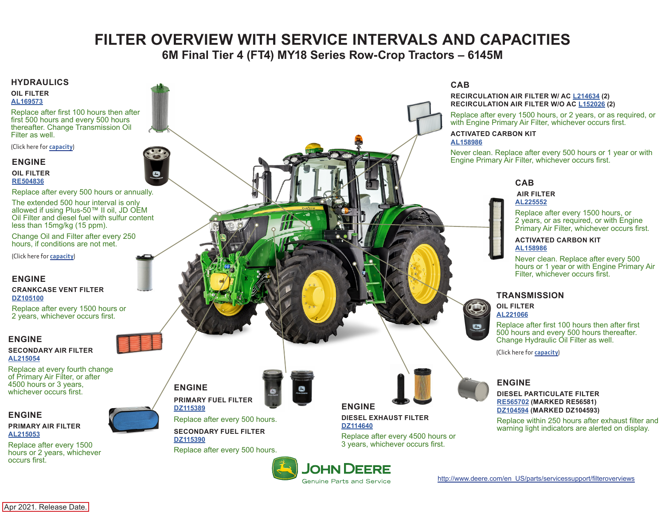# **FILTER OVERVIEW WITH SERVICE INTERVALS AND CAPACITIES**

**6M Final Tier 4 (FT4) MY18 Series Row-Crop Tractors – 6145M**

#### <span id="page-0-0"></span>**HYDRAULICS**

#### **OIL FILTER [AL169573](https://jdparts.deere.com/servlet/com.deere.u90.jdparts.view.servlets.partinfocontroller.PartDetails?screenName=JDSearch&&partSearchNumber=AL169573)**

Replace after first 100 hours then after first 500 hours and every 500 hours thereafter. Change Transmission Oil Filter as well.

(Click here for **[capacity](#page-1-0)**)

#### **ENGINE**

**OIL FILTER [RE504836](https://jdparts.deere.com/servlet/com.deere.u90.jdparts.view.servlets.partinfocontroller.PartDetails?screenName=JDSearch&&partSearchNumber=RE504836)**

Replace after every 500 hours or annually.

The extended 500 hour interval is only allowed if using Plus-50™ II oil, JD OEM Oil Filter and diesel fuel with sulfur content less than 15mg/kg (15 ppm).

Change Oil and Filter after every 250 hours, if conditions are not met.

(Click here for **[capacity](#page-1-0)**)

## **ENGINE**

**CRANKCASE VENT FILTER [DZ105100](https://jdparts.deere.com/servlet/com.deere.u90.jdparts.view.servlets.partinfocontroller.PartDetails?screenName=JDSearch&&partSearchNumber=DZ105100)**

Replace after every 1500 hours or 2 years, whichever occurs first.

## **ENGINE**

#### **SECONDARY AIR FILTER [AL215054](https://jdparts.deere.com/servlet/com.deere.u90.jdparts.view.servlets.partinfocontroller.PartDetails?screenName=JDSearch&&partSearchNumber=AL215054)**

Replace at every fourth change of Primary Air Filter, or after 4500 hours or 3 years, whichever occurs first.

## **ENGINE**

**PRIMARY AIR FILTER [AL215053](https://jdparts.deere.com/servlet/com.deere.u90.jdparts.view.servlets.partinfocontroller.PartDetails?screenName=JDSearch&&partSearchNumber=AL215053)**

Replace after every 1500 hours or 2 years, whichever occurs first.



**ENGINE PRIMARY FUEL FILTER [DZ115389](https://jdparts.deere.com/servlet/com.deere.u90.jdparts.view.servlets.partinfocontroller.PartDetails?screenName=JDSearch&&partSearchNumber=DZ115389)**

Replace after every 500 hours.

**SECONDARY FUEL FILTER [DZ115390](https://jdparts.deere.com/servlet/com.deere.u90.jdparts.view.servlets.partinfocontroller.PartDetails?screenName=JDSearch&&partSearchNumber=DZ115390)** Replace after every 500 hours.



**ENGINE DIESEL EXHAUST FILTER**

> **[DZ114640](https://jdparts.deere.com/servlet/com.deere.u90.jdparts.view.servlets.partinfocontroller.PartDetails?screenName=JDSearch&&partSearchNumber=DZ114640)** Replace after every 4500 hours or 3 years, whichever occurs first.

**JOHN DEERE Genuine Parts and Service** 

## **CAB**

#### **RECIRCULATION AIR FILTER W/ AC [L214634](https://jdparts.deere.com/servlet/com.deere.u90.jdparts.view.servlets.partinfocontroller.PartDetails?screenName=JDSearch&&partSearchNumber=L214634) (2) RECIRCULATION AIR FILTER W/O AC [L152026](https://jdparts.deere.com/servlet/com.deere.u90.jdparts.view.servlets.partinfocontroller.PartDetails?screenName=JDSearch&&partSearchNumber=L152026) (2)**

Replace after every 1500 hours, or 2 years, or as required, or with Engine Primary Air Filter, whichever occurs first.

#### **ACTIVATED CARBON KIT [AL158986](https://jdparts.deere.com/servlet/com.deere.u90.jdparts.view.servlets.partinfocontroller.PartDetails?screenName=JDSearch&&partSearchNumber=AL158986)**

Never clean. Replace after every 500 hours or 1 year or with Engine Primary Air Filter, whichever occurs first.

## **CAB**

#### **AIR FILTER [AL225552](https://jdparts.deere.com/servlet/com.deere.u90.jdparts.view.servlets.partinfocontroller.PartDetails?screenName=JDSearch&&partSearchNumber=AL225552)**

Replace after every 1500 hours, or 2 years, or as required, or with Engine Primary Air Filter, whichever occurs first.

#### **ACTIVATED CARBON KIT [AL158986](https://jdparts.deere.com/servlet/com.deere.u90.jdparts.view.servlets.partinfocontroller.PartDetails?screenName=JDSearch&&partSearchNumber=AL158986)**

Never clean. Replace after every 500 hours or 1 year or with Engine Primary Air Filter, whichever occurs first.

## **TRANSMISSION**



Replace after first 100 hours then after first 500 hours and every 500 hours thereafter. Change Hydraulic Oil Filter as well.

(Click here for **[capacity](#page-1-0)**)

## **ENGINE**

**DIESEL PARTICULATE FILTER [RE565702](https://jdparts.deere.com/servlet/com.deere.u90.jdparts.view.servlets.partinfocontroller.PartDetails?screenName=JDSearch&&partSearchNumber=RE565702) (MARKED RE56581) [DZ104594](https://jdparts.deere.com/servlet/com.deere.u90.jdparts.view.servlets.partinfocontroller.PartDetails?screenName=JDSearch&&partSearchNumber=DZ104594) (MARKED DZ104593)**

Replace within 250 hours after exhaust filter and warning light indicators are alerted on display.

[http://www.deere.com/en\\_US/parts/servicessupport/filteroverviews](http://www.deere.com/en_US/parts/servicessupport/filteroverviews)

Apr 2021. Release Date.